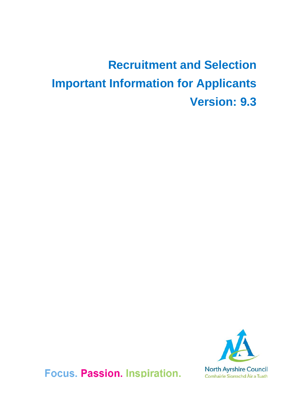# **Recruitment and Selection Important Information for Applicants Version: 9.3**



Focus. Passion. Inspiration.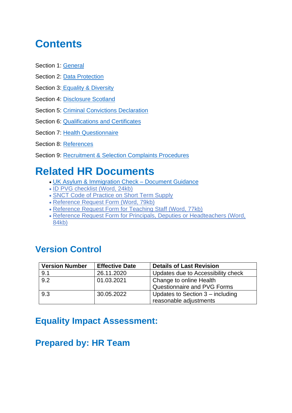### **Contents**

- Section 1: [General](#page-2-0)
- Section 2: [Data Protection](#page-3-0)
- Section 3: [Equality & Diversity](#page-4-0)
- Section 4: [Disclosure Scotland](#page-6-0)
- Section 5: Criminal Convictions Declaration
- Section 6: [Qualifications and Certificates](#page-7-1)
- Section 7: [Health Questionnaire](#page-8-0)
- Section 8: [References](#page-8-1)
- Section 9: [Recruitment & Selection Complaints Procedures](#page-10-0)

### **Related HR Documents**

- [UK Asylum & Immigration Check –](https://assets.publishing.service.gov.uk/government/uploads/system/uploads/attachment_data/file/378926/employers_right_to_work_checklist_november_2014.pdf%22%20/o%20%22UK%20Asylum%20ann%20Immigration%20check%20document%20guidance) Document Guidance
- [ID PVG checklist \(Word, 24kb\)](https://www.gov.uk/government/uploads/system/uploads/attachment_data/file/378926/employers_right_to_work_checklist_november_2014.pdf%22%20/o%20%22UK%20Asylum%20ann%20Immigration%20check%20document%20guidance%22%20%EF%BF%BDHYPERLINK%20%22http:/www.north-ayrshire.gov.uk/Documents/CorporateServices/HR/ID-PVG-checklist.doc)
- [SNCT Code of Practice on Short Term Supply](http://www.snct.org.uk/wiki/index.php?title=Appendix_2.8A)
- [Reference Request Form \(Word, 79kb\)](http://www.north-ayrshire.gov.uk/Forms/CorporateServices/HR/reference-request.doc)
- [Reference Request Form for Teaching Staff \(Word, 77kb\)](http://www.north-ayrshire.gov.uk/Forms/EducationalServices/reference-request-form-teachers-v20-aug-13.doc)
- [Reference Request Form for Principals, Deputies or Headteachers \(Word,](http://www.north-ayrshire.gov.uk/Forms/EducationalServices/reference-request-form-principals-deputies-and-headteachers.doc)  [84kb\)](http://www.north-ayrshire.gov.uk/Forms/EducationalServices/reference-request-form-principals-deputies-and-headteachers.doc)

#### **Version Control**

| <b>Version Number</b> | <b>Effective Date</b> | <b>Details of Last Revision</b>    |  |
|-----------------------|-----------------------|------------------------------------|--|
| 9.1                   | 26.11.2020            | Updates due to Accessibility check |  |
| 9.2                   | 01.03.2021            | Change to online Health            |  |
|                       |                       | Questionnaire and PVG Forms        |  |
| 9.3                   | 30.05.2022            | Updates to Section 3 - including   |  |
|                       |                       | reasonable adjustments             |  |

### **Equality Impact Assessment:**

### **Prepared by: HR Team**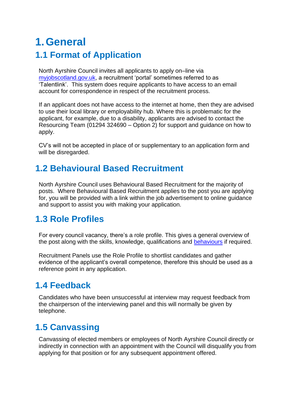### <span id="page-2-0"></span>**1.General 1.1 Format of Application**

North Ayrshire Council invites all applicants to apply on–line via [myjobscotland.gov.uk,](https://www.myjobscotland.gov.uk/) a recruitment 'portal' sometimes referred to as 'Talentlink'. This system does require applicants to have access to an email account for correspondence in respect of the recruitment process.

If an applicant does not have access to the internet at home, then they are advised to use their local library or employability hub. Where this is problematic for the applicant, for example, due to a disability, applicants are advised to contact the Resourcing Team (01294 324690 – Option 2) for support and guidance on how to apply.

CV's will not be accepted in place of or supplementary to an application form and will be disregarded.

#### **1.2 Behavioural Based Recruitment**

North Ayrshire Council uses Behavioural Based Recruitment for the majority of posts. Where Behavioural Based Recruitment applies to the post you are applying for, you will be provided with a link within the job advertisement to online guidance and support to assist you with making your application.

#### **1.3 Role Profiles**

For every council vacancy, there's a role profile. This gives a general overview of the post along with the skills, knowledge, qualifications and [behaviours](http://www.north-ayrshire.gov.uk/resident/jobs-and-training/staff-values-behaviours.aspx) if required.

Recruitment Panels use the Role Profile to shortlist candidates and gather evidence of the applicant's overall competence, therefore this should be used as a reference point in any application.

#### **1.4 Feedback**

Candidates who have been unsuccessful at interview may request feedback from the chairperson of the interviewing panel and this will normally be given by telephone.

### **1.5 Canvassing**

Canvassing of elected members or employees of North Ayrshire Council directly or indirectly in connection with an appointment with the Council will disqualify you from applying for that position or for any subsequent appointment offered.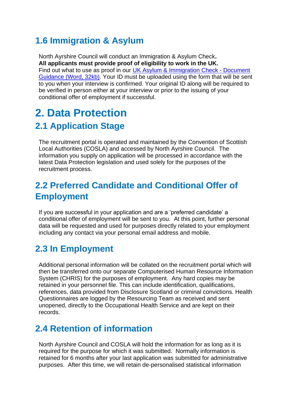#### **1.6 Immigration & Asylum**

North Ayrshire Council will conduct an Immigration & Asylum Check**. All applicants must provide proof of eligibility to work in the UK.** Find out what to use as proof in our [UK Asylum & Immigration Check -](http://www.north-ayrshire.gov.uk/Documents/CorporateServices/HR/UK-asylum-and-immigration-check-document-guidance.doc) Document [Guidance \(Word, 32kb\).](http://www.north-ayrshire.gov.uk/Documents/CorporateServices/HR/UK-asylum-and-immigration-check-document-guidance.doc) Your ID must be uploaded using the form that will be sent to you when your interview is confirmed. Your original ID along will be required to be verified in person either at your interview or prior to the issuing of your conditional offer of employment if successful.

### <span id="page-3-0"></span>**2. Data Protection 2.1 Application Stage**

The recruitment portal is operated and maintained by the Convention of Scottish Local Authorities (COSLA) and accessed by North Ayrshire Council. The information you supply on application will be processed in accordance with the latest Data Protection legislation and used solely for the purposes of the recruitment process.

#### **2.2 Preferred Candidate and Conditional Offer of Employment**

If you are successful in your application and are a 'preferred candidate' a conditional offer of employment will be sent to you. At this point, further personal data will be requested and used for purposes directly related to your employment including any contact via your personal email address and mobile.

#### **2.3 In Employment**

Additional personal information will be collated on the recruitment portal which will then be transferred onto our separate Computerised Human Resource Information System (CHRIS) for the purposes of employment. Any hard copies may be retained in your personnel file. This can include identification, qualifications, references, data provided from Disclosure Scotland or criminal convictions. Health Questionnaires are logged by the Resourcing Team as received and sent unopened, directly to the Occupational Health Service and are kept on their records.

#### **2.4 Retention of information**

North Ayrshire Council and COSLA will hold the information for as long as it is required for the purpose for which it was submitted. Normally information is retained for 6 months after your last application was submitted for administrative purposes. After this time, we will retain de-personalised statistical information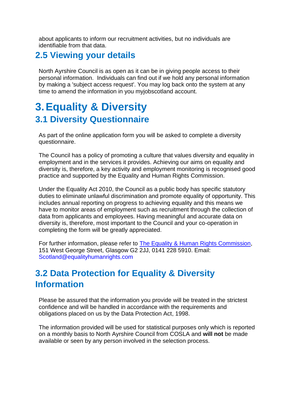about applicants to inform our recruitment activities, but no individuals are identifiable from that data.

#### **2.5 Viewing your details**

North Ayrshire Council is as open as it can be in giving people access to their personal information. Individuals can find out if we hold any personal information by making a 'subject access request'. You may log back onto the system at any time to amend the information in you myjobscotland account.

### <span id="page-4-0"></span>**3.Equality & Diversity 3.1 Diversity Questionnaire**

As part of the online application form you will be asked to complete a diversity questionnaire.

The Council has a policy of promoting a culture that values diversity and equality in employment and in the services it provides. Achieving our aims on equality and diversity is, therefore, a key activity and employment monitoring is recognised good practice and supported by the Equality and Human Rights Commission.

Under the Equality Act 2010, the Council as a public body has specific statutory duties to eliminate unlawful discrimination and promote equality of opportunity. This includes annual reporting on progress to achieving equality and this means we have to monitor areas of employment such as recruitment through the collection of data from applicants and employees. Having meaningful and accurate data on diversity is, therefore, most important to the Council and your co-operation in completing the form will be greatly appreciated.

For further information, please refer to **The Equality & Human Rights Commission**, 151 West George Street, Glasgow G2 2JJ, 0141 228 5910. Email: [Scotland@equalityhumanrights.com](mailto:Scotland@equalityhumanrights.com)

#### **3.2 Data Protection for Equality & Diversity Information**

Please be assured that the information you provide will be treated in the strictest confidence and will be handled in accordance with the requirements and obligations placed on us by the Data Protection Act, 1998.

The information provided will be used for statistical purposes only which is reported on a monthly basis to North Ayrshire Council from COSLA and **will not** be made available or seen by any person involved in the selection process.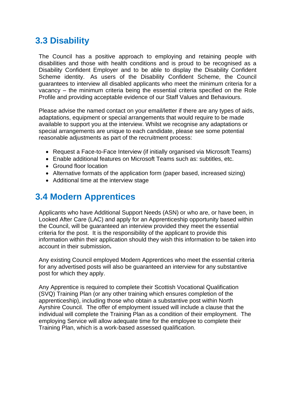#### **3.3 Disability**

The Council has a positive approach to employing and retaining people with disabilities and those with health conditions and is proud to be recognised as a Disability Confident Employer and to be able to display the Disability Confident Scheme identity. As users of the Disability Confident Scheme, the Council guarantees to interview all disabled applicants who meet the minimum criteria for a vacancy – the minimum criteria being the essential criteria specified on the Role Profile and providing acceptable evidence of our Staff Values and Behaviours.

Please advise the named contact on your email/letter if there are any types of aids, adaptations, equipment or special arrangements that would require to be made available to support you at the interview. Whilst we recognise any adaptations or special arrangements are unique to each candidate, please see some potential reasonable adjustments as part of the recruitment process:

- Request a Face-to-Face Interview (if initially organised via Microsoft Teams)
- Enable additional features on Microsoft Teams such as: subtitles, etc.
- Ground floor location
- Alternative formats of the application form (paper based, increased sizing)
- Additional time at the interview stage

#### **3.4 Modern Apprentices**

Applicants who have Additional Support Needs (ASN) or who are, or have been, in Looked After Care (LAC) and apply for an Apprenticeship opportunity based within the Council, will be guaranteed an interview provided they meet the essential criteria for the post. It is the responsibility of the applicant to provide this information within their application should they wish this information to be taken into account in their submission**.**

Any existing Council employed Modern Apprentices who meet the essential criteria for any advertised posts will also be guaranteed an interview for any substantive post for which they apply.

Any Apprentice is required to complete their Scottish Vocational Qualification (SVQ) Training Plan (or any other training which ensures completion of the apprenticeship), including those who obtain a substantive post within North Ayrshire Council. The offer of employment issued will include a clause that the individual will complete the Training Plan as a condition of their employment. The employing Service will allow adequate time for the employee to complete their Training Plan, which is a work-based assessed qualification.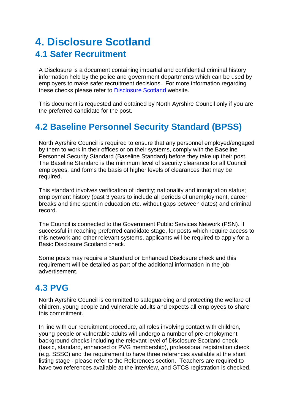### <span id="page-6-0"></span>**4. Disclosure Scotland 4.1 Safer Recruitment**

A Disclosure is a document containing impartial and confidential criminal history information held by the police and government departments which can be used by employers to make safer recruitment decisions. For more information regarding these checks please refer to [Disclosure Scotland](https://www.mygov.scot/disclosure-types/) website.

This document is requested and obtained by North Ayrshire Council only if you are the preferred candidate for the post.

#### **4.2 Baseline Personnel Security Standard (BPSS)**

North Ayrshire Council is required to ensure that any personnel employed/engaged by them to work in their offices or on their systems, comply with the Baseline Personnel Security Standard (Baseline Standard) before they take up their post. The Baseline Standard is the minimum level of security clearance for all Council employees, and forms the basis of higher levels of clearances that may be required.

This standard involves verification of identity; nationality and immigration status; employment history (past 3 years to include all periods of unemployment, career breaks and time spent in education etc. without gaps between dates) and criminal record.

The Council is connected to the Government Public Services Network (PSN). If successful in reaching preferred candidate stage, for posts which require access to this network and other relevant systems, applicants will be required to apply for a Basic Disclosure Scotland check.

Some posts may require a Standard or Enhanced Disclosure check and this requirement will be detailed as part of the additional information in the job advertisement.

#### **4.3 PVG**

North Ayrshire Council is committed to safeguarding and protecting the welfare of children, young people and vulnerable adults and expects all employees to share this commitment.

In line with our recruitment procedure, all roles involving contact with children, young people or vulnerable adults will undergo a number of pre-employment background checks including the relevant level of Disclosure Scotland check (basic, standard, enhanced or PVG membership), professional registration check (e.g. SSSC) and the requirement to have three references available at the short listing stage - please refer to the References section. Teachers are required to have two references available at the interview, and GTCS registration is checked.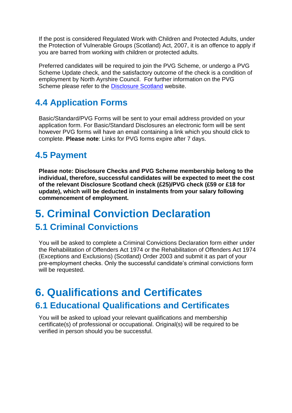If the post is considered Regulated Work with Children and Protected Adults, under the Protection of Vulnerable Groups (Scotland) Act, 2007, it is an offence to apply if you are barred from working with children or protected adults.

Preferred candidates will be required to join the PVG Scheme, or undergo a PVG Scheme Update check, and the satisfactory outcome of the check is a condition of employment by North Ayrshire Council. For further information on the PVG Scheme please refer to the [Disclosure Scotland](http://www.disclosurescotland.co.uk/disclosureinformation/pvgscheme.htm) website.

#### **4.4 Application Forms**

Basic/Standard/PVG Forms will be sent to your email address provided on your application form. For Basic/Standard Disclosures an electronic form will be sent however PVG forms will have an email containing a link which you should click to complete. **Please note**: Links for PVG forms expire after 7 days.

#### **4.5 Payment**

**Please note: Disclosure Checks and PVG Scheme membership belong to the individual, therefore, successful candidates will be expected to meet the cost of the relevant Disclosure Scotland check (£25)/PVG check (£59 or £18 for update), which will be deducted in instalments from your salary following commencement of employment.**

### <span id="page-7-0"></span>**5. Criminal Conviction Declaration 5.1 Criminal Convictions**

You will be asked to complete a Criminal Convictions Declaration form either under the Rehabilitation of Offenders Act 1974 or the Rehabilitation of Offenders Act 1974 (Exceptions and Exclusions) (Scotland) Order 2003 and submit it as part of your pre-employment checks. Only the successful candidate's criminal convictions form will be requested.

### <span id="page-7-1"></span>**6. Qualifications and Certificates 6.1 Educational Qualifications and Certificates**

You will be asked to upload your relevant qualifications and membership certificate(s) of professional or occupational. Original(s) will be required to be verified in person should you be successful.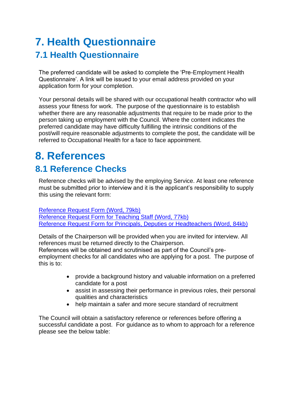### <span id="page-8-0"></span>**7. Health Questionnaire 7.1 Health Questionnaire**

The preferred candidate will be asked to complete the 'Pre-Employment Health Questionnaire'. A link will be issued to your email address provided on your application form for your completion.

Your personal details will be shared with our occupational health contractor who will assess your fitness for work. The purpose of the questionnaire is to establish whether there are any reasonable adjustments that require to be made prior to the person taking up employment with the Council. Where the content indicates the preferred candidate may have difficulty fulfilling the intrinsic conditions of the post/will require reasonable adjustments to complete the post, the candidate will be referred to Occupational Health for a face to face appointment.

## <span id="page-8-1"></span>**8. References**

#### **8.1 Reference Checks**

Reference checks will be advised by the employing Service. At least one reference must be submitted prior to interview and it is the applicant's responsibility to supply this using the relevant form:

[Reference Request Form \(Word, 79kb\)](http://www.north-ayrshire.gov.uk/Forms/CorporateServices/HR/reference-request.doc) [Reference Request Form for Teaching Staff \(Word, 77kb\)](http://www.north-ayrshire.gov.uk/Forms/EducationalServices/reference-request-form-teachers-v20-aug-13.doc) [Reference Request Form for Principals, Deputies or Headteachers \(Word, 84kb\)](http://www.north-ayrshire.gov.uk/Forms/EducationalServices/reference-request-form-principals-deputies-and-headteachers.doc)

Details of the Chairperson will be provided when you are invited for interview. All references must be returned directly to the Chairperson.

References will be obtained and scrutinised as part of the Council's preemployment checks for all candidates who are applying for a post. The purpose of this is to:

- provide a background history and valuable information on a preferred candidate for a post
- assist in assessing their performance in previous roles, their personal qualities and characteristics
- help maintain a safer and more secure standard of recruitment

The Council will obtain a satisfactory reference or references before offering a successful candidate a post. For guidance as to whom to approach for a reference please see the below table: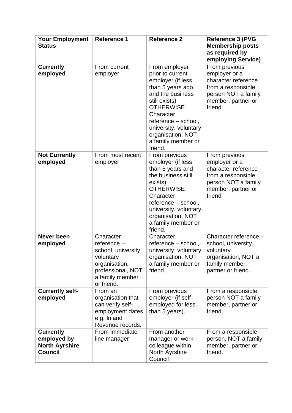| <b>Your Employment</b><br><b>Status</b>                                    | <b>Reference 1</b>                                                                                                                    | <b>Reference 2</b>                                                                                                                                                                                                                                     | <b>Reference 3 (PVG</b><br><b>Membership posts</b><br>as required by<br>employing Service)                                         |
|----------------------------------------------------------------------------|---------------------------------------------------------------------------------------------------------------------------------------|--------------------------------------------------------------------------------------------------------------------------------------------------------------------------------------------------------------------------------------------------------|------------------------------------------------------------------------------------------------------------------------------------|
| <b>Currently</b><br>employed                                               | From current<br>employer                                                                                                              | From employer<br>prior to current<br>employer (if less<br>than 5 years ago<br>and the business<br>still exists)<br><b>OTHERWISE</b><br>Character<br>reference - school,<br>university, voluntary<br>organisation, NOT<br>a family member or<br>friend. | From previous<br>employer or a<br>character reference<br>from a responsible<br>person NOT a family<br>member, partner or<br>friend |
| <b>Not Currently</b><br>employed                                           | From most recent<br>employer                                                                                                          | From previous<br>employer (if less<br>than 5 years and<br>the business still<br>exists)<br><b>OTHERWISE</b><br>Character<br>reference - school,<br>university, voluntary<br>organisation, NOT<br>a family member or<br>friend.                         | From previous<br>employer or a<br>character reference<br>from a responsible<br>person NOT a family<br>member, partner or<br>friend |
| Never been<br>employed                                                     | Character<br>$reference -$<br>school, university,<br>voluntary<br>organisation,<br>professional, NOT<br>a family member<br>or friend. | Character<br>reference - school,<br>university, voluntary<br>organisation, NOT<br>a family member or<br>friend.                                                                                                                                        | Character reference -<br>school, university,<br>voluntary<br>organisation, NOT a<br>family member,<br>partner or friend.           |
| <b>Currently self-</b><br>employed                                         | From an<br>organisation that<br>can verify self-<br>employment dates<br>e.g. Inland<br>Revenue records.                               | From previous<br>employer (if self-<br>employed for less<br>than 5 years).                                                                                                                                                                             | From a responsible<br>person NOT a family<br>member, partner or<br>friend.                                                         |
| <b>Currently</b><br>employed by<br><b>North Ayrshire</b><br><b>Council</b> | From immediate<br>line manager                                                                                                        | From another<br>manager or work<br>colleague within<br>North Ayrshire<br>Council                                                                                                                                                                       | From a responsible<br>person, NOT a family<br>member, partner or<br>friend.                                                        |